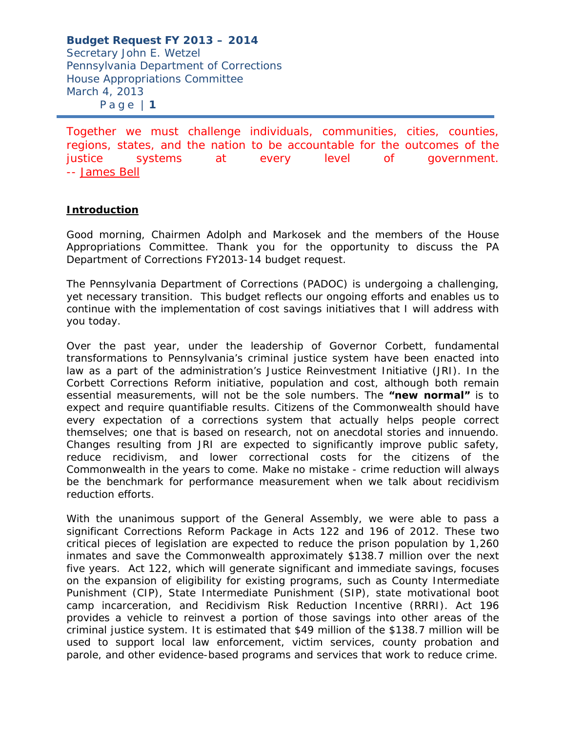Together we must challenge individuals, communities, cities, counties, regions, states, and the nation to be accountable for the outcomes of the justice systems at every level of government. -- James Bell

### **Introduction**

Good morning, Chairmen Adolph and Markosek and the members of the House Appropriations Committee. Thank you for the opportunity to discuss the PA Department of Corrections FY2013-14 budget request.

The Pennsylvania Department of Corrections (PADOC) is undergoing a challenging, yet necessary transition. This budget reflects our ongoing efforts and enables us to continue with the implementation of cost savings initiatives that I will address with you today.

Over the past year, under the leadership of Governor Corbett, fundamental transformations to Pennsylvania's criminal justice system have been enacted into law as a part of the administration's Justice Reinvestment Initiative (JRI). In the Corbett Corrections Reform initiative, population and cost, although both remain essential measurements, will not be the sole numbers. The **"new normal"** is to expect and require quantifiable results. Citizens of the Commonwealth should have every expectation of a corrections system that actually helps people correct themselves; one that is based on research, not on anecdotal stories and innuendo. Changes resulting from JRI are expected to significantly improve public safety, reduce recidivism, and lower correctional costs for the citizens of the Commonwealth in the years to come. Make no mistake - crime reduction will always be the benchmark for performance measurement when we talk about recidivism reduction efforts.

With the unanimous support of the General Assembly, we were able to pass a significant Corrections Reform Package in Acts 122 and 196 of 2012. These two critical pieces of legislation are expected to reduce the prison population by 1,260 inmates and save the Commonwealth approximately \$138.7 million over the next five years. Act 122, which will generate significant and immediate savings, focuses on the expansion of eligibility for existing programs, such as County Intermediate Punishment (CIP), State Intermediate Punishment (SIP), state motivational boot camp incarceration, and Recidivism Risk Reduction Incentive (RRRI). Act 196 provides a vehicle to reinvest a portion of those savings into other areas of the criminal justice system. It is estimated that \$49 million of the \$138.7 million will be used to support local law enforcement, victim services, county probation and parole, and other evidence-based programs and services that work to reduce crime.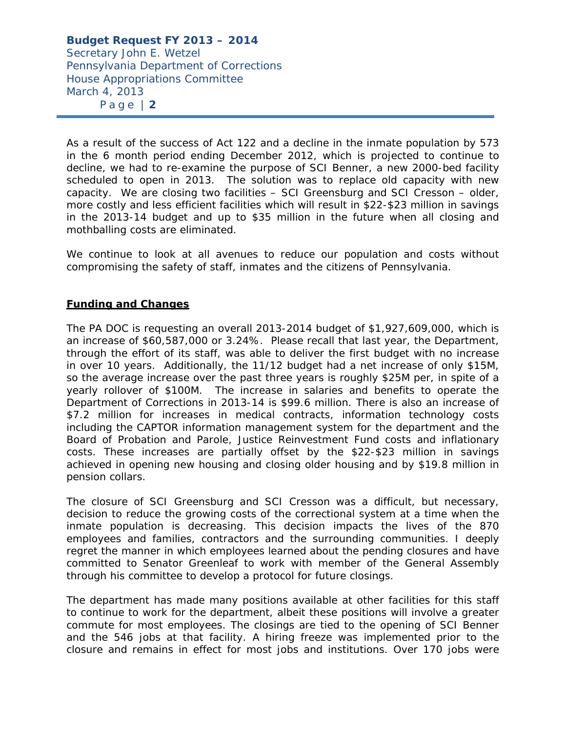As a result of the success of Act 122 and a decline in the inmate population by 573 in the 6 month period ending December 2012, which is projected to continue to decline, we had to re-examine the purpose of SCI Benner, a new 2000-bed facility scheduled to open in 2013. The solution was to replace old capacity with new capacity. We are closing two facilities – SCI Greensburg and SCI Cresson – older, more costly and less efficient facilities which will result in \$22-\$23 million in savings in the 2013-14 budget and up to \$35 million in the future when all closing and mothballing costs are eliminated.

We continue to look at all avenues to reduce our population and costs without compromising the safety of staff, inmates and the citizens of Pennsylvania.

# **Funding and Changes**

The PA DOC is requesting an overall 2013-2014 budget of \$1,927,609,000, which is an increase of \$60,587,000 or 3.24%. Please recall that last year, the Department, through the effort of its staff, was able to deliver the first budget with no increase in over 10 years. Additionally, the 11/12 budget had a net increase of only \$15M, so the average increase over the past three years is roughly \$25M per, in spite of a yearly rollover of \$100M. The increase in salaries and benefits to operate the Department of Corrections in 2013-14 is \$99.6 million. There is also an increase of \$7.2 million for increases in medical contracts, information technology costs including the CAPTOR information management system for the department and the Board of Probation and Parole, Justice Reinvestment Fund costs and inflationary costs. These increases are partially offset by the \$22-\$23 million in savings achieved in opening new housing and closing older housing and by \$19.8 million in pension collars.

The closure of SCI Greensburg and SCI Cresson was a difficult, but necessary, decision to reduce the growing costs of the correctional system at a time when the inmate population is decreasing. This decision impacts the lives of the 870 employees and families, contractors and the surrounding communities. I deeply regret the manner in which employees learned about the pending closures and have committed to Senator Greenleaf to work with member of the General Assembly through his committee to develop a protocol for future closings.

The department has made many positions available at other facilities for this staff to continue to work for the department, albeit these positions will involve a greater commute for most employees. The closings are tied to the opening of SCI Benner and the 546 jobs at that facility. A hiring freeze was implemented prior to the closure and remains in effect for most jobs and institutions. Over 170 jobs were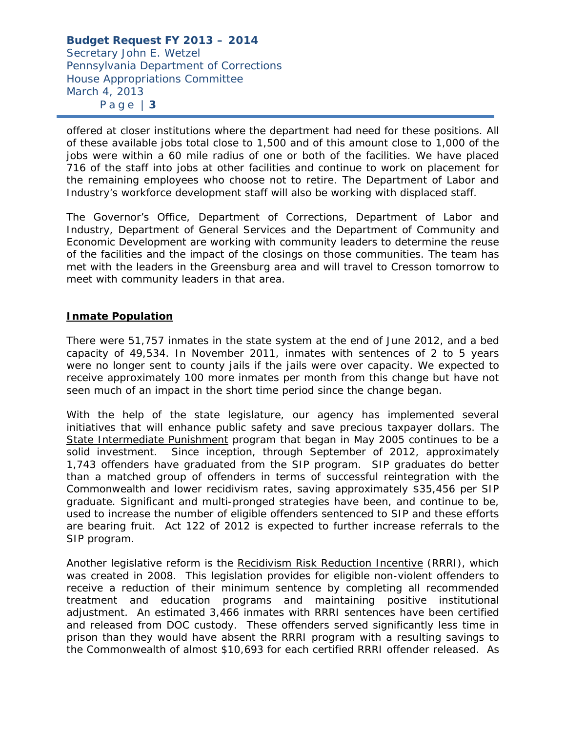offered at closer institutions where the department had need for these positions. All of these available jobs total close to 1,500 and of this amount close to 1,000 of the jobs were within a 60 mile radius of one or both of the facilities. We have placed 716 of the staff into jobs at other facilities and continue to work on placement for the remaining employees who choose not to retire. The Department of Labor and Industry's workforce development staff will also be working with displaced staff.

The Governor's Office, Department of Corrections, Department of Labor and Industry, Department of General Services and the Department of Community and Economic Development are working with community leaders to determine the reuse of the facilities and the impact of the closings on those communities. The team has met with the leaders in the Greensburg area and will travel to Cresson tomorrow to meet with community leaders in that area.

# **Inmate Population**

There were 51,757 inmates in the state system at the end of June 2012, and a bed capacity of 49,534. In November 2011, inmates with sentences of 2 to 5 years were no longer sent to county jails if the jails were over capacity. We expected to receive approximately 100 more inmates per month from this change but have not seen much of an impact in the short time period since the change began.

With the help of the state legislature, our agency has implemented several initiatives that will enhance public safety and save precious taxpayer dollars. The State Intermediate Punishment program that began in May 2005 continues to be a solid investment. Since inception, through September of 2012, approximately 1,743 offenders have graduated from the SIP program. SIP graduates do better than a matched group of offenders in terms of successful reintegration with the Commonwealth and lower recidivism rates, saving approximately \$35,456 per SIP graduate. Significant and multi-pronged strategies have been, and continue to be, used to increase the number of eligible offenders sentenced to SIP and these efforts are bearing fruit. Act 122 of 2012 is expected to further increase referrals to the SIP program.

Another legislative reform is the Recidivism Risk Reduction Incentive (RRRI), which was created in 2008. This legislation provides for eligible non-violent offenders to receive a reduction of their minimum sentence by completing all recommended treatment and education programs and maintaining positive institutional adjustment. An estimated 3,466 inmates with RRRI sentences have been certified and released from DOC custody. These offenders served significantly less time in prison than they would have absent the RRRI program with a resulting savings to the Commonwealth of almost \$10,693 for each certified RRRI offender released. As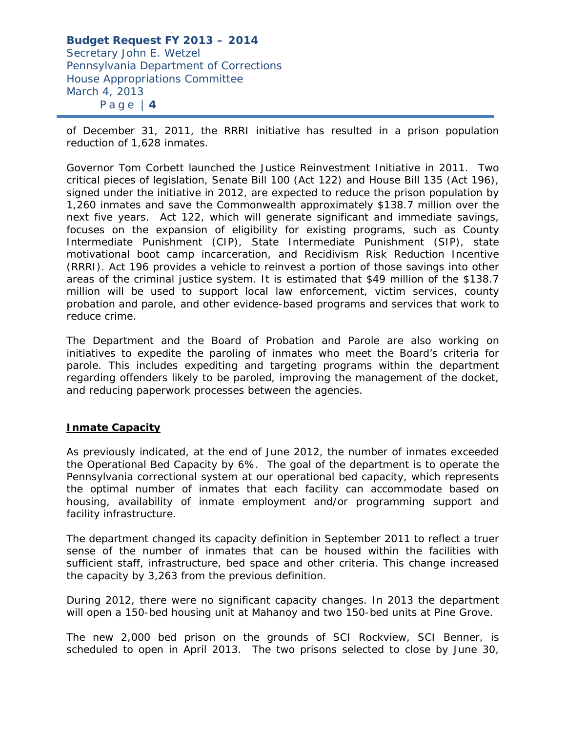of December 31, 2011, the RRRI initiative has resulted in a prison population reduction of 1,628 inmates.

Governor Tom Corbett launched the Justice Reinvestment Initiative in 2011. Two critical pieces of legislation, Senate Bill 100 (Act 122) and House Bill 135 (Act 196), signed under the initiative in 2012, are expected to reduce the prison population by 1,260 inmates and save the Commonwealth approximately \$138.7 million over the next five years. Act 122, which will generate significant and immediate savings, focuses on the expansion of eligibility for existing programs, such as County Intermediate Punishment (CIP), State Intermediate Punishment (SIP), state motivational boot camp incarceration, and Recidivism Risk Reduction Incentive (RRRI). Act 196 provides a vehicle to reinvest a portion of those savings into other areas of the criminal justice system. It is estimated that \$49 million of the \$138.7 million will be used to support local law enforcement, victim services, county probation and parole, and other evidence-based programs and services that work to reduce crime.

The Department and the Board of Probation and Parole are also working on initiatives to expedite the paroling of inmates who meet the Board's criteria for parole. This includes expediting and targeting programs within the department regarding offenders likely to be paroled, improving the management of the docket, and reducing paperwork processes between the agencies.

### **Inmate Capacity**

As previously indicated, at the end of June 2012, the number of inmates exceeded the Operational Bed Capacity by 6%. The goal of the department is to operate the Pennsylvania correctional system at our operational bed capacity, which represents the optimal number of inmates that each facility can accommodate based on housing, availability of inmate employment and/or programming support and facility infrastructure.

The department changed its capacity definition in September 2011 to reflect a truer sense of the number of inmates that can be housed within the facilities with sufficient staff, infrastructure, bed space and other criteria. This change increased the capacity by 3,263 from the previous definition.

During 2012, there were no significant capacity changes. In 2013 the department will open a 150-bed housing unit at Mahanoy and two 150-bed units at Pine Grove.

The new 2,000 bed prison on the grounds of SCI Rockview, SCI Benner, is scheduled to open in April 2013. The two prisons selected to close by June 30,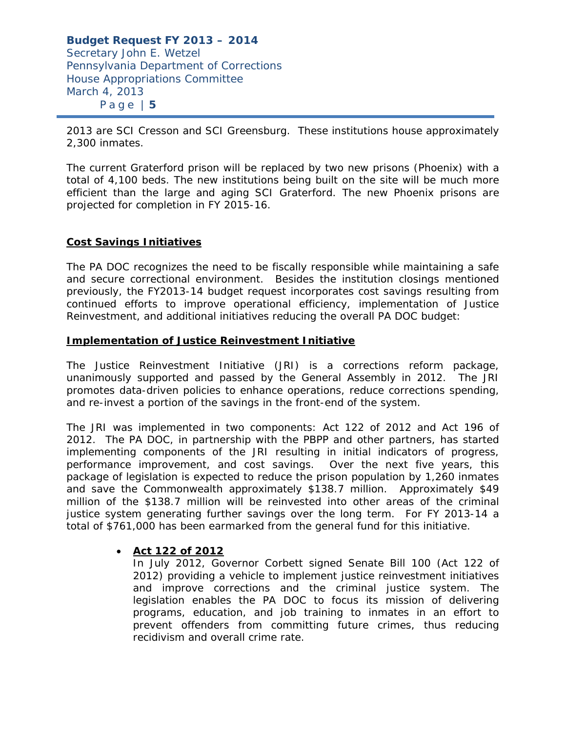2013 are SCI Cresson and SCI Greensburg. These institutions house approximately 2,300 inmates.

The current Graterford prison will be replaced by two new prisons (Phoenix) with a total of 4,100 beds. The new institutions being built on the site will be much more efficient than the large and aging SCI Graterford. The new Phoenix prisons are projected for completion in FY 2015-16.

### **Cost Savings Initiatives**

The PA DOC recognizes the need to be fiscally responsible while maintaining a safe and secure correctional environment. Besides the institution closings mentioned previously, the FY2013-14 budget request incorporates cost savings resulting from continued efforts to improve operational efficiency, implementation of Justice Reinvestment, and additional initiatives reducing the overall PA DOC budget:

#### **Implementation of Justice Reinvestment Initiative**

The Justice Reinvestment Initiative (JRI) is a corrections reform package, unanimously supported and passed by the General Assembly in 2012. The JRI promotes data-driven policies to enhance operations, reduce corrections spending, and re-invest a portion of the savings in the front-end of the system.

The JRI was implemented in two components: Act 122 of 2012 and Act 196 of 2012. The PA DOC, in partnership with the PBPP and other partners, has started implementing components of the JRI resulting in initial indicators of progress, performance improvement, and cost savings. Over the next five years, this package of legislation is expected to reduce the prison population by 1,260 inmates and save the Commonwealth approximately \$138.7 million. Approximately \$49 million of the \$138.7 million will be reinvested into other areas of the criminal justice system generating further savings over the long term. For FY 2013-14 a total of \$761,000 has been earmarked from the general fund for this initiative.

# *Act 122 of 2012*

In July 2012, Governor Corbett signed Senate Bill 100 (Act 122 of 2012) providing a vehicle to implement justice reinvestment initiatives and improve corrections and the criminal justice system. The legislation enables the PA DOC to focus its mission of delivering programs, education, and job training to inmates in an effort to prevent offenders from committing future crimes, thus reducing recidivism and overall crime rate.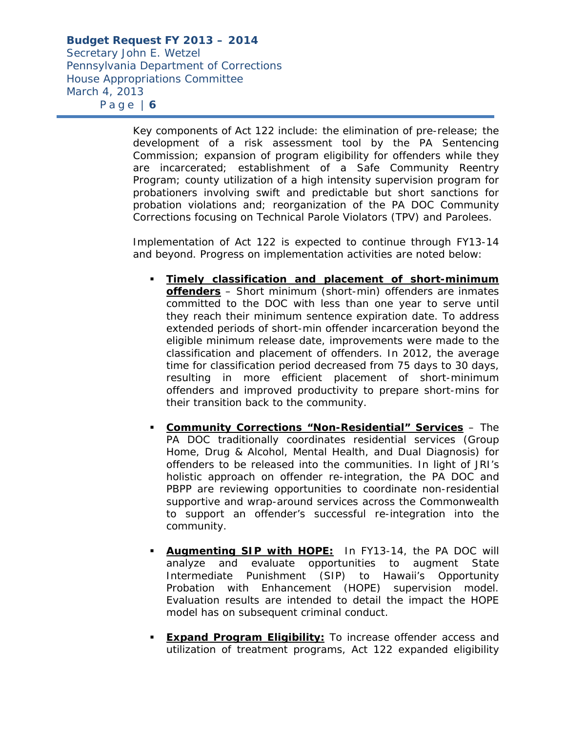*Secretary John E. Wetzel Pennsylvania Department of Corrections House Appropriations Committee March 4, 2013 P a g e | 6*

> Key components of Act 122 include: the elimination of pre-release; the development of a risk assessment tool by the PA Sentencing Commission; expansion of program eligibility for offenders while they are incarcerated; establishment of a Safe Community Reentry Program; county utilization of a high intensity supervision program for probationers involving swift and predictable but short sanctions for probation violations and; reorganization of the PA DOC Community Corrections focusing on Technical Parole Violators (TPV) and Parolees.

> Implementation of Act 122 is expected to continue through FY13-14 and beyond. Progress on implementation activities are noted below:

- **Timely classification and placement of short-minimum offenders** – Short minimum (short-min) offenders are inmates committed to the DOC with less than one year to serve until they reach their minimum sentence expiration date. To address extended periods of short-min offender incarceration beyond the eligible minimum release date, improvements were made to the classification and placement of offenders. In 2012, the average time for classification period decreased from 75 days to 30 days, resulting in more efficient placement of short-minimum offenders and improved productivity to prepare short-mins for their transition back to the community.
- **Community Corrections "Non-Residential" Services** The PA DOC traditionally coordinates residential services (Group Home, Drug & Alcohol, Mental Health, and Dual Diagnosis) for offenders to be released into the communities. In light of JRI's holistic approach on offender re-integration, the PA DOC and PBPP are reviewing opportunities to coordinate non-residential supportive and wrap-around services across the Commonwealth to support an offender's successful re-integration into the community.
- **Augmenting SIP with HOPE:** In FY13-14, the PA DOC will analyze and evaluate opportunities to augment State Intermediate Punishment (SIP) to Hawaii's Opportunity Probation with Enhancement (HOPE) supervision model. Evaluation results are intended to detail the impact the HOPE model has on subsequent criminal conduct.
- **Expand Program Eligibility:** To increase offender access and utilization of treatment programs, Act 122 expanded eligibility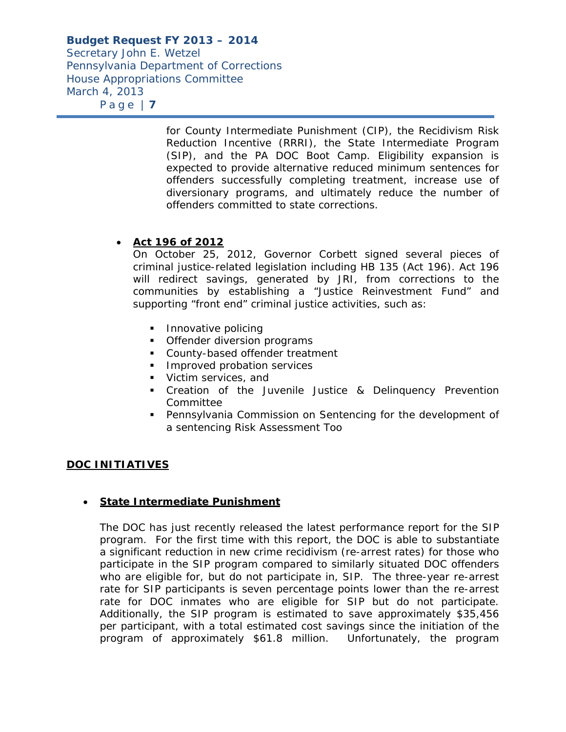*Secretary John E. Wetzel Pennsylvania Department of Corrections House Appropriations Committee March 4, 2013 P a g e | 7*

> for County Intermediate Punishment (CIP), the Recidivism Risk Reduction Incentive (RRRI), the State Intermediate Program (SIP), and the PA DOC Boot Camp. Eligibility expansion is expected to provide alternative reduced minimum sentences for offenders successfully completing treatment, increase use of diversionary programs, and ultimately reduce the number of offenders committed to state corrections.

# *Act 196 of 2012*

On October 25, 2012, Governor Corbett signed several pieces of criminal justice-related legislation including HB 135 (Act 196). Act 196 will redirect savings, generated by JRI, from corrections to the communities by establishing a "Justice Reinvestment Fund" and supporting "front end" criminal justice activities, such as:

- Innovative policing
- **•** Offender diversion programs
- County-based offender treatment
- **Improved probation services**
- **Victim services**, and
- **•** Creation of the Juvenile Justice & Delinquency Prevention Committee
- Pennsylvania Commission on Sentencing for the development of a sentencing Risk Assessment Too

# **DOC INITIATIVES**

### **State Intermediate Punishment**

The DOC has just recently released the latest performance report for the SIP program. For the first time with this report, the DOC is able to substantiate a significant reduction in new crime recidivism (re-arrest rates) for those who participate in the SIP program compared to similarly situated DOC offenders who are eligible for, but do not participate in, SIP. The three-year re-arrest rate for SIP participants is seven percentage points lower than the re-arrest rate for DOC inmates who are eligible for SIP but do not participate. Additionally, the SIP program is estimated to save approximately \$35,456 per participant, with a total estimated cost savings since the initiation of the program of approximately \$61.8 million. Unfortunately, the program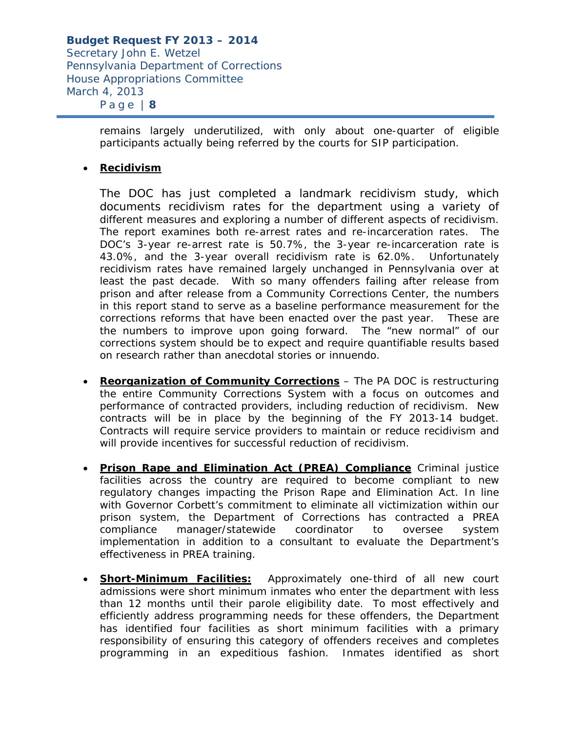*Secretary John E. Wetzel Pennsylvania Department of Corrections House Appropriations Committee March 4, 2013 P a g e | 8*

> remains largely underutilized, with only about one-quarter of eligible participants actually being referred by the courts for SIP participation.

### **Recidivism**

The DOC has just completed a landmark recidivism study, which documents recidivism rates for the department using a variety of different measures and exploring a number of different aspects of recidivism. The report examines both re-arrest rates and re-incarceration rates. The DOC's 3-year re-arrest rate is 50.7%, the 3-year re-incarceration rate is 43.0%, and the 3-year overall recidivism rate is 62.0%. Unfortunately recidivism rates have remained largely unchanged in Pennsylvania over at least the past decade. With so many offenders failing after release from prison and after release from a Community Corrections Center, the numbers in this report stand to serve as a baseline performance measurement for the corrections reforms that have been enacted over the past year. These are the numbers to improve upon going forward. The "new normal" of our corrections system should be to expect and require quantifiable results based on research rather than anecdotal stories or innuendo.

- **Reorganization of Community Corrections** The PA DOC is restructuring the entire Community Corrections System with a focus on outcomes and performance of contracted providers, including reduction of recidivism. New contracts will be in place by the beginning of the FY 2013-14 budget. Contracts will require service providers to maintain or reduce recidivism and will provide incentives for successful reduction of recidivism.
- **Prison Rape and Elimination Act (PREA) Compliance** Criminal justice facilities across the country are required to become compliant to new regulatory changes impacting the Prison Rape and Elimination Act. In line with Governor Corbett's commitment to eliminate all victimization within our prison system, the Department of Corrections has contracted a PREA compliance manager/statewide coordinator to oversee system implementation in addition to a consultant to evaluate the Department's effectiveness in PREA training.
- **Short-Minimum Facilities:** Approximately one-third of all new court admissions were short minimum inmates who enter the department with less than 12 months until their parole eligibility date. To most effectively and efficiently address programming needs for these offenders, the Department has identified four facilities as short minimum facilities with a primary responsibility of ensuring this category of offenders receives and completes programming in an expeditious fashion. Inmates identified as short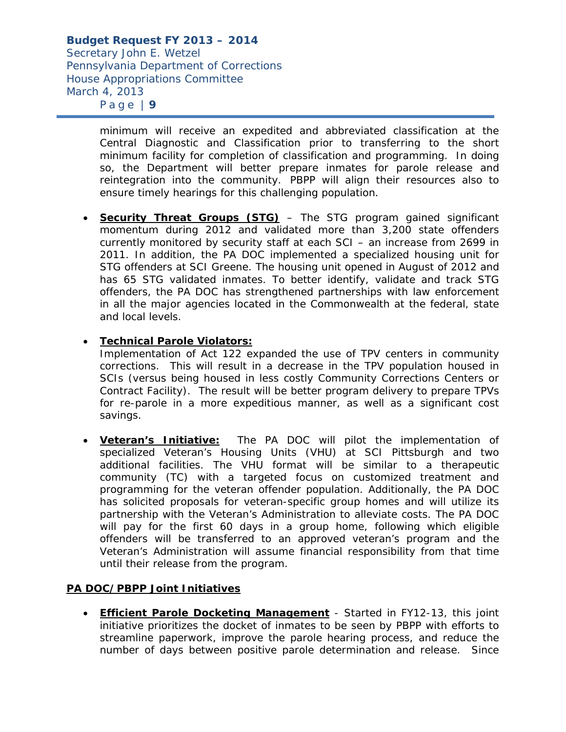*Secretary John E. Wetzel Pennsylvania Department of Corrections House Appropriations Committee March 4, 2013 P a g e | 9*

> minimum will receive an expedited and abbreviated classification at the Central Diagnostic and Classification prior to transferring to the short minimum facility for completion of classification and programming. In doing so, the Department will better prepare inmates for parole release and reintegration into the community. PBPP will align their resources also to ensure timely hearings for this challenging population.

**Security Threat Groups (STG)** – The STG program gained significant momentum during 2012 and validated more than 3,200 state offenders currently monitored by security staff at each SCI – an increase from 2699 in 2011. In addition, the PA DOC implemented a specialized housing unit for STG offenders at SCI Greene. The housing unit opened in August of 2012 and has 65 STG validated inmates. To better identify, validate and track STG offenders, the PA DOC has strengthened partnerships with law enforcement in all the major agencies located in the Commonwealth at the federal, state and local levels.

### **Technical Parole Violators:**

Implementation of Act 122 expanded the use of TPV centers in community corrections. This will result in a decrease in the TPV population housed in SCIs (versus being housed in less costly Community Corrections Centers or Contract Facility). The result will be better program delivery to prepare TPVs for re-parole in a more expeditious manner, as well as a significant cost savings.

 **Veteran's Initiative:** The PA DOC will pilot the implementation of specialized Veteran's Housing Units (VHU) at SCI Pittsburgh and two additional facilities. The VHU format will be similar to a therapeutic community (TC) with a targeted focus on customized treatment and programming for the veteran offender population. Additionally, the PA DOC has solicited proposals for veteran-specific group homes and will utilize its partnership with the Veteran's Administration to alleviate costs. The PA DOC will pay for the first 60 days in a group home, following which eligible offenders will be transferred to an approved veteran's program and the Veteran's Administration will assume financial responsibility from that time until their release from the program.

### **PA DOC/PBPP Joint Initiatives**

 **Efficient Parole Docketing Management** - Started in FY12-13, this joint initiative prioritizes the docket of inmates to be seen by PBPP with efforts to streamline paperwork, improve the parole hearing process, and reduce the number of days between positive parole determination and release. Since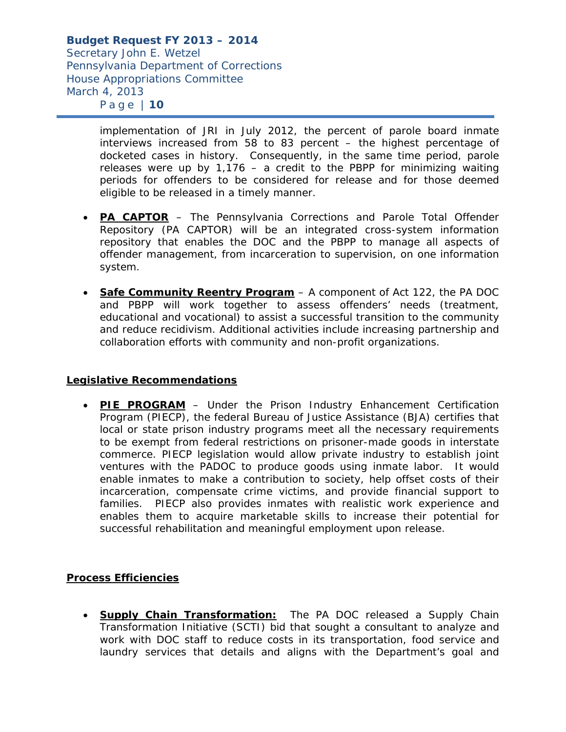> implementation of JRI in July 2012, the percent of parole board inmate interviews increased from 58 to 83 percent – the highest percentage of docketed cases in history. Consequently, in the same time period, parole releases were up by  $1,176 - a$  credit to the PBPP for minimizing waiting periods for offenders to be considered for release and for those deemed eligible to be released in a timely manner.

- **PA CAPTOR** The Pennsylvania Corrections and Parole Total Offender Repository (PA CAPTOR) will be an integrated cross-system information repository that enables the DOC and the PBPP to manage all aspects of offender management, from incarceration to supervision, on one information system.
- **Safe Community Reentry Program** A component of Act 122, the PA DOC and PBPP will work together to assess offenders' needs (treatment, educational and vocational) to assist a successful transition to the community and reduce recidivism. Additional activities include increasing partnership and collaboration efforts with community and non-profit organizations.

### **Legislative Recommendations**

 **PIE PROGRAM** – Under the Prison Industry Enhancement Certification Program (PIECP), the federal Bureau of Justice Assistance (BJA) certifies that local or state prison industry programs meet all the necessary requirements to be exempt from federal restrictions on prisoner-made goods in interstate commerce. PIECP legislation would allow private industry to establish joint ventures with the PADOC to produce goods using inmate labor. It would enable inmates to make a contribution to society, help offset costs of their incarceration, compensate crime victims, and provide financial support to families. PIECP also provides inmates with realistic work experience and enables them to acquire marketable skills to increase their potential for successful rehabilitation and meaningful employment upon release.

# **Process Efficiencies**

 **Supply Chain Transformation:** The PA DOC released a Supply Chain Transformation Initiative (SCTI) bid that sought a consultant to analyze and work with DOC staff to reduce costs in its transportation, food service and laundry services that details and aligns with the Department's goal and